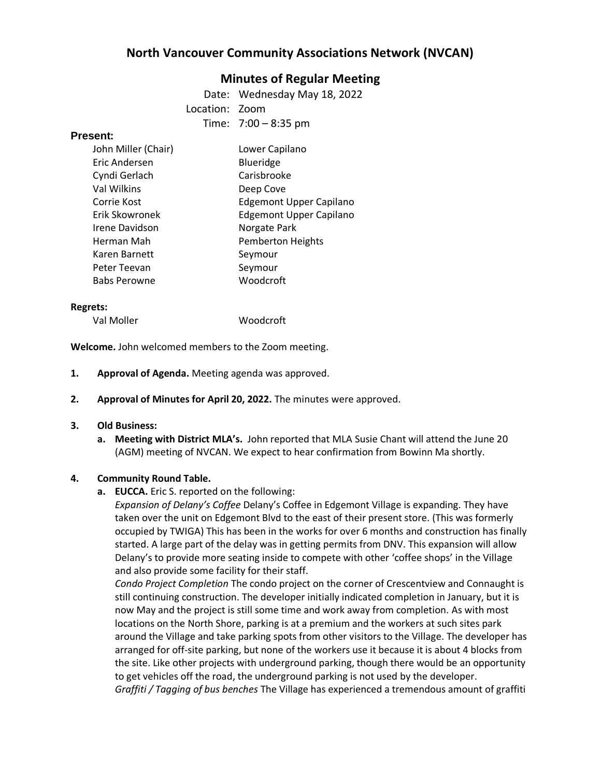# **North Vancouver Community Associations Network (NVCAN)**

## **Minutes of Regular Meeting**

Date: Wednesday May 18, 2022

Location: Zoom

Time: 7:00 – 8:35 pm

#### **Present:**

| John Miller (Chair) | Lower Capilano                 |
|---------------------|--------------------------------|
| Eric Andersen       | Blueridge                      |
| Cyndi Gerlach       | Carisbrooke                    |
| Val Wilkins         | Deep Cove                      |
| Corrie Kost         | <b>Edgemont Upper Capilano</b> |
| Erik Skowronek      | <b>Edgemont Upper Capilano</b> |
| Irene Davidson      | Norgate Park                   |
| Herman Mah          | <b>Pemberton Heights</b>       |
| Karen Barnett       | Seymour                        |
| Peter Teevan        | Seymour                        |
| <b>Babs Perowne</b> | Woodcroft                      |

#### **Regrets:**

Val Moller Woodcroft

**Welcome.** John welcomed members to the Zoom meeting.

- **1. Approval of Agenda.** Meeting agenda was approved.
- **2. Approval of Minutes for April 20, 2022.** The minutes were approved.

#### **3. Old Business:**

**a. Meeting with District MLA's.** John reported that MLA Susie Chant will attend the June 20 (AGM) meeting of NVCAN. We expect to hear confirmation from Bowinn Ma shortly.

#### **4. Community Round Table.**

**a. EUCCA.** Eric S. reported on the following:

*Expansion of Delany's Coffee* Delany's Coffee in Edgemont Village is expanding. They have taken over the unit on Edgemont Blvd to the east of their present store. (This was formerly occupied by TWIGA) This has been in the works for over 6 months and construction has finally started. A large part of the delay was in getting permits from DNV. This expansion will allow Delany's to provide more seating inside to compete with other 'coffee shops' in the Village and also provide some facility for their staff.

*Condo Project Completion* The condo project on the corner of Crescentview and Connaught is still continuing construction. The developer initially indicated completion in January, but it is now May and the project is still some time and work away from completion. As with most locations on the North Shore, parking is at a premium and the workers at such sites park around the Village and take parking spots from other visitors to the Village. The developer has arranged for off-site parking, but none of the workers use it because it is about 4 blocks from the site. Like other projects with underground parking, though there would be an opportunity to get vehicles off the road, the underground parking is not used by the developer. *Graffiti / Tagging of bus benches* The Village has experienced a tremendous amount of graffiti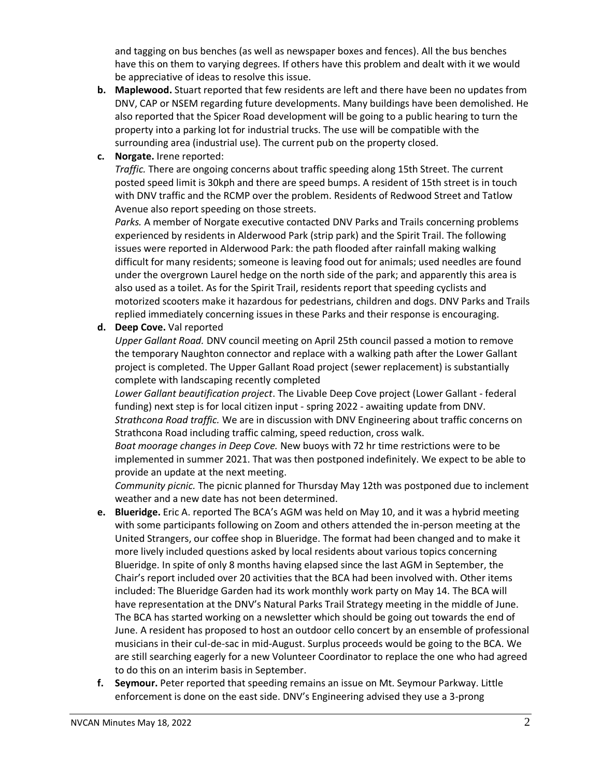and tagging on bus benches (as well as newspaper boxes and fences). All the bus benches have this on them to varying degrees. If others have this problem and dealt with it we would be appreciative of ideas to resolve this issue.

- **b. Maplewood.** Stuart reported that few residents are left and there have been no updates from DNV, CAP or NSEM regarding future developments. Many buildings have been demolished. He also reported that the Spicer Road development will be going to a public hearing to turn the property into a parking lot for industrial trucks. The use will be compatible with the surrounding area (industrial use). The current pub on the property closed.
- **c. Norgate.** Irene reported:

*Traffic.* There are ongoing concerns about traffic speeding along 15th Street. The current posted speed limit is 30kph and there are speed bumps. A resident of 15th street is in touch with DNV traffic and the RCMP over the problem. Residents of Redwood Street and Tatlow Avenue also report speeding on those streets.

*Parks.* A member of Norgate executive contacted DNV Parks and Trails concerning problems experienced by residents in Alderwood Park (strip park) and the Spirit Trail. The following issues were reported in Alderwood Park: the path flooded after rainfall making walking difficult for many residents; someone is leaving food out for animals; used needles are found under the overgrown Laurel hedge on the north side of the park; and apparently this area is also used as a toilet. As for the Spirit Trail, residents report that speeding cyclists and motorized scooters make it hazardous for pedestrians, children and dogs. DNV Parks and Trails replied immediately concerning issues in these Parks and their response is encouraging.

**d. Deep Cove.** Val reported

*Upper Gallant Road.* DNV council meeting on April 25th council passed a motion to remove the temporary Naughton connector and replace with a walking path after the Lower Gallant project is completed. The Upper Gallant Road project (sewer replacement) is substantially complete with landscaping recently completed

*Lower Gallant beautification project*. The Livable Deep Cove project (Lower Gallant - federal funding) next step is for local citizen input - spring 2022 - awaiting update from DNV. *Strathcona Road traffic.* We are in discussion with DNV Engineering about traffic concerns on Strathcona Road including traffic calming, speed reduction, cross walk.

*Boat moorage changes in Deep Cove.* New buoys with 72 hr time restrictions were to be implemented in summer 2021. That was then postponed indefinitely. We expect to be able to provide an update at the next meeting.

*Community picnic.* The picnic planned for Thursday May 12th was postponed due to inclement weather and a new date has not been determined.

- **e. Blueridge.** Eric A. reported The BCA's AGM was held on May 10, and it was a hybrid meeting with some participants following on Zoom and others attended the in-person meeting at the United Strangers, our coffee shop in Blueridge. The format had been changed and to make it more lively included questions asked by local residents about various topics concerning Blueridge. In spite of only 8 months having elapsed since the last AGM in September, the Chair's report included over 20 activities that the BCA had been involved with. Other items included: The Blueridge Garden had its work monthly work party on May 14. The BCA will have representation at the DNV's Natural Parks Trail Strategy meeting in the middle of June. The BCA has started working on a newsletter which should be going out towards the end of June. A resident has proposed to host an outdoor cello concert by an ensemble of professional musicians in their cul-de-sac in mid-August. Surplus proceeds would be going to the BCA. We are still searching eagerly for a new Volunteer Coordinator to replace the one who had agreed to do this on an interim basis in September.
- **f. Seymour.** Peter reported that speeding remains an issue on Mt. Seymour Parkway. Little enforcement is done on the east side. DNV's Engineering advised they use a 3-prong